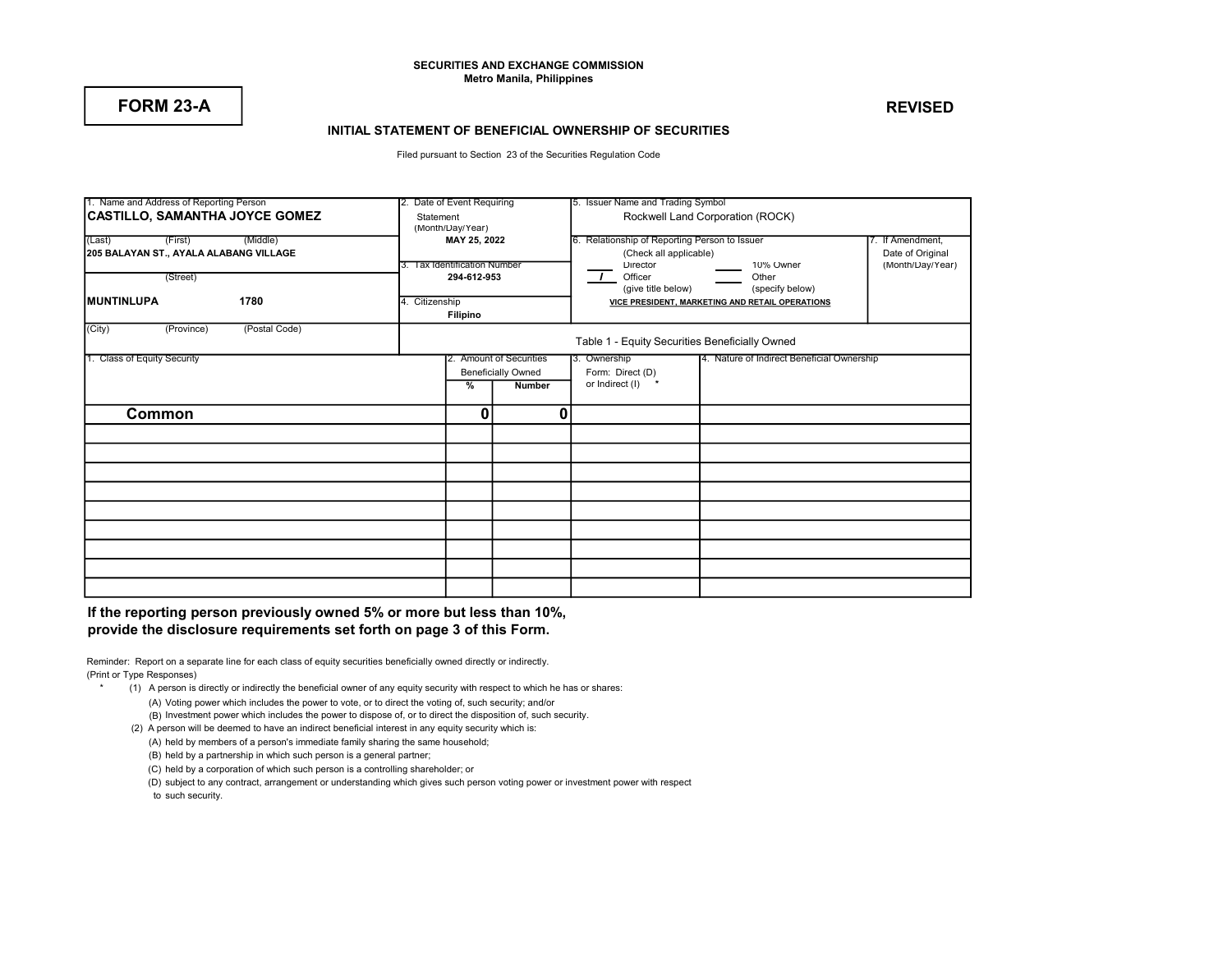### SECURITIES AND EXCHANGE COMMISSION Metro Manila, Philippines

# FORM 23-A REVISED

### INITIAL STATEMENT OF BENEFICIAL OWNERSHIP OF SECURITIES

Filed pursuant to Section 23 of the Securities Regulation Code

| 1. Name and Address of Reporting Person | 2. Date of Event Requiring    |                              | 5. Issuer Name and Trading Symbol |                                                 |                                            |                  |  |  |
|-----------------------------------------|-------------------------------|------------------------------|-----------------------------------|-------------------------------------------------|--------------------------------------------|------------------|--|--|
|                                         |                               |                              |                                   |                                                 |                                            |                  |  |  |
| <b>CASTILLO, SAMANTHA JOYCE GOMEZ</b>   | Statement<br>(Month/Day/Year) |                              |                                   | Rockwell Land Corporation (ROCK)                |                                            |                  |  |  |
|                                         |                               |                              |                                   |                                                 |                                            |                  |  |  |
| (Middle)<br>(First)<br>(Last)           | MAY 25, 2022                  |                              |                                   | Relationship of Reporting Person to Issuer      | 7. If Amendment,                           |                  |  |  |
| 205 BALAYAN ST., AYALA ALABANG VILLAGE  |                               |                              |                                   | (Check all applicable)                          | Date of Original                           |                  |  |  |
|                                         |                               | 3. Tax Identification Number |                                   | Director                                        | 10% Owner                                  | (Month/Day/Year) |  |  |
| (Street)                                |                               |                              | 294-612-953                       | Officer                                         | Other                                      |                  |  |  |
|                                         |                               |                              |                                   | (give title below)                              | (specify below)                            |                  |  |  |
| <b>IMUNTINLUPA</b><br>1780              | 4. Citizenship                |                              |                                   | VICE PRESIDENT, MARKETING AND RETAIL OPERATIONS |                                            |                  |  |  |
|                                         |                               | Filipino                     |                                   |                                                 |                                            |                  |  |  |
| (City)<br>(Postal Code)<br>(Province)   |                               |                              |                                   |                                                 |                                            |                  |  |  |
|                                         |                               |                              |                                   | Table 1 - Equity Securities Beneficially Owned  |                                            |                  |  |  |
|                                         |                               |                              |                                   |                                                 |                                            |                  |  |  |
| 1. Class of Equity Security             |                               |                              | 2. Amount of Securities           | 3. Ownership                                    | 4. Nature of Indirect Beneficial Ownership |                  |  |  |
|                                         |                               |                              | <b>Beneficially Owned</b>         | Form: Direct (D)                                |                                            |                  |  |  |
|                                         |                               | %                            | <b>Number</b>                     | or Indirect (I)                                 |                                            |                  |  |  |
|                                         |                               |                              |                                   |                                                 |                                            |                  |  |  |
| Common                                  |                               | 0                            | 0                                 |                                                 |                                            |                  |  |  |
|                                         |                               |                              |                                   |                                                 |                                            |                  |  |  |
|                                         |                               |                              |                                   |                                                 |                                            |                  |  |  |
|                                         |                               |                              |                                   |                                                 |                                            |                  |  |  |
|                                         |                               |                              |                                   |                                                 |                                            |                  |  |  |
|                                         |                               |                              |                                   |                                                 |                                            |                  |  |  |
|                                         |                               |                              |                                   |                                                 |                                            |                  |  |  |
|                                         |                               |                              |                                   |                                                 |                                            |                  |  |  |
|                                         |                               |                              |                                   |                                                 |                                            |                  |  |  |
|                                         |                               |                              |                                   |                                                 |                                            |                  |  |  |

If the reporting person previously owned 5% or more but less than 10%, provide the disclosure requirements set forth on page 3 of this Form.

Reminder: Report on a separate line for each class of equity securities beneficially owned directly or indirectly. (Print or Type Responses)

- \* (1) A person is directly or indirectly the beneficial owner of any equity security with respect to which he has or shares: (A) Voting power which includes the power to vote, or to direct the voting of, such security; and/or
	- (B) Investment power which includes the power to dispose of, or to direct the disposition of, such security.
	- (2) A person will be deemed to have an indirect beneficial interest in any equity security which is: (A) held by members of a person's immediate family sharing the same household;
		- (B) held by a partnership in which such person is a general partner;
		- (C) held by a corporation of which such person is a controlling shareholder; or
		- (D) subject to any contract, arrangement or understanding which gives such person voting power or investment power with respect

to such security.